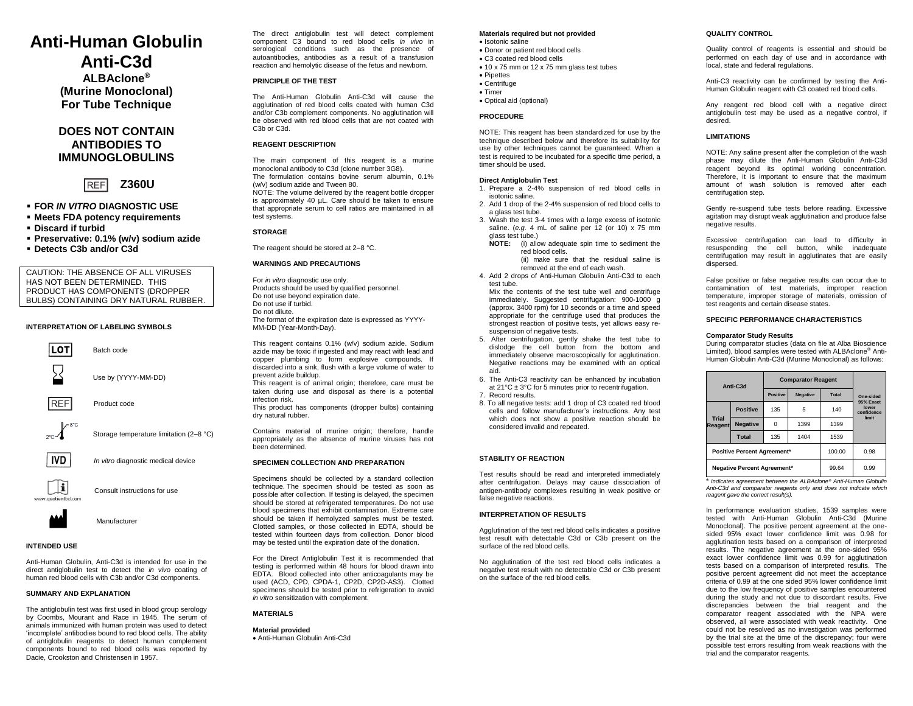# **Anti-Human Globulin Anti-C3d**

**ALBAclone® (Murine Monoclonal) For Tube Technique**

# **DOES NOT CONTAIN ANTIBODIES TO IMMUNOGLOBULINS**

**Z360U RFF** 

- **FOR** *IN VITRO* **DIAGNOSTIC USE**
- **Meets FDA potency requirements**
- **Discard if turbid**
- **Preservative: 0.1% (w/v) sodium azide**
- **Detects C3b and/or C3d**

CAUTION: THE ABSENCE OF ALL VIRUSES HAS NOT BEEN DETERMINED. THIS PRODUCT HAS COMPONENTS (DROPPER BULBS) CONTAINING DRY NATURAL RUBBER.

# **INTERPRETATION OF LABELING SYMBOLS**



# **INTENDED USE**

Anti-Human Globulin, Anti-C3d is intended for use in the direct antiglobulin test to detect the *in vivo* coating of human red blood cells with C3b and/or C3d components.

#### **SUMMARY AND EXPLANATION**

The antiglobulin test was first used in blood group serology by Coombs, Mourant and Race in 1945. The serum of animals immunized with human protein was used to detect 'incomplete' antibodies bound to red blood cells. The ability of antiglobulin reagents to detect human complement components bound to red blood cells was reported by Dacie, Crookston and Christensen in 1957.

The direct antiglobulin test will detect complement component C3 bound to red blood cells *in vivo* in serological conditions such as the presence of autoantibodies, antibodies as a result of a transfusion reaction and hemolytic disease of the fetus and newborn.

# **PRINCIPLE OF THE TEST**

The Anti-Human Globulin Anti-C3d will cause the agglutination of red blood cells coated with human C3d and/or C3b complement components. No agglutination will be observed with red blood cells that are not coated with C3b or C3d.

## **REAGENT DESCRIPTION**

The main component of this reagent is a murine monoclonal antibody to C3d (clone number 3G8). The formulation contains bovine serum albumin, 0.1%

(w/v) sodium azide and Tween 80. NOTE: The volume delivered by the reagent bottle dropper is approximately 40 µL. Care should be taken to ensure that appropriate serum to cell ratios are maintained in all test systems.

#### **STORAGE**

The reagent should be stored at 2–8 °C.

#### **WARNINGS AND PRECAUTIONS**

For *in vitro* diagnostic use only. Products should be used by qualified personnel. Do not use beyond expiration date. Do not use if turbid. Do not dilute. The format of the expiration date is expressed as YYYY-MM-DD (Year-Month-Day).

This reagent contains 0.1% (w/v) sodium azide. Sodium azide may be toxic if ingested and may react with lead and copper plumbing to form explosive compounds. If discarded into a sink, flush with a large volume of water to prevent azide buildup.

This reagent is of animal origin; therefore, care must be taken during use and disposal as there is a potential infection risk.

This product has components (dropper bulbs) containing dry natural rubber.

Contains material of murine origin; therefore, handle appropriately as the absence of murine viruses has not been determined.

#### **SPECIMEN COLLECTION AND PREPARATION**

Specimens should be collected by a standard collection technique. The specimen should be tested as soon as possible after collection. If testing is delayed, the specimen should be stored at refrigerated temperatures. Do not use blood specimens that exhibit contamination. Extreme care should be taken if hemolyzed samples must be tested. Clotted samples, or those collected in EDTA, should be tested within fourteen days from collection. Donor blood may be tested until the expiration date of the donation.

For the Direct Antiglobulin Test it is recommended that testing is performed within 48 hours for blood drawn into EDTA. Blood collected into other anticoagulants may be used (ACD, CPD, CPDA-1, CP2D, CP2D-AS3). Clotted specimens should be tested prior to refrigeration to avoid *in vitro* sensitization with complement.

# **MATERIALS**

# **Material provided**

• Anti-Human Globulin Anti-C3d

#### **Materials required but not provided** • Isotonic saline

• Donor or patient red blood cells

- C3 coated red blood cells
- 10 x 75 mm or 12 x 75 mm glass test tubes
- Pipettes
- Centrifuge
- Timer

• Optical aid (optional)

#### **PROCEDURE**

NOTE: This reagent has been standardized for use by the technique described below and therefore its suitability for use by other techniques cannot be quaranteed. When a test is required to be incubated for a specific time period, a timer should be used.

#### **Direct Antiglobulin Test**

- 1. Prepare a 2-4% suspension of red blood cells in isotonic saline.
- 2. Add 1 drop of the 2-4% suspension of red blood cells to a glass test tube.
- 3. Wash the test 3-4 times with a large excess of isotonic saline. (e.g. 4 mL of saline per 12 (or 10) x 75 mm glass test tube.)
	- **NOTE:** (i) allow adequate spin time to sediment the red blood cells.
		- (ii) make sure that the residual saline is removed at the end of each wash.
- 4. Add 2 drops of Anti-Human Globulin Anti-C3d to each test tube.

Mix the contents of the test tube well and centrifuge immediately. Suggested centrifugation: 900-1000 g (approx. 3400 rpm) for 10 seconds or a time and speed appropriate for the centrifuge used that produces the strongest reaction of positive tests, yet allows easy resuspension of negative tests.

- 5. After centrifugation, gently shake the test tube to dislodge the cell button from the bottom and immediately observe macroscopically for agglutination. Negative reactions may be examined with an optical aid.
- 6. The Anti-C3 reactivity can be enhanced by incubation at  $21^{\circ}$ C  $\pm$  3°C for 5 minutes prior to recentrifugation.
- 7. Record results.
- 8. To all negative tests: add 1 drop of C3 coated red blood cells and follow manufacturer's instructions. Any test which does not show a positive reaction should be considered invalid and repeated.

# **STABILITY OF REACTION**

Test results should be read and interpreted immediately after centrifugation. Delays may cause dissociation of antigen-antibody complexes resulting in weak positive or false negative reactions.

#### **INTERPRETATION OF RESULTS**

Agglutination of the test red blood cells indicates a positive test result with detectable C3d or C3b present on the surface of the red blood cells.

No agglutination of the test red blood cells indicates a negative test result with no detectable C3d or C3b present on the surface of the red blood cells.

# **QUALITY CONTROL**

Quality control of reagents is essential and should be performed on each day of use and in accordance with local, state and federal regulations.

Anti-C3 reactivity can be confirmed by testing the Anti-Human Globulin reagent with C3 coated red blood cells.

Any reagent red blood cell with a negative direct antiglobulin test may be used as a negative control, if desired.

#### **LIMITATIONS**

NOTE: Any saline present after the completion of the wash phase may dilute the Anti-Human Globulin Anti-C3d reagent beyond its optimal working concentration. Therefore, it is important to ensure that the maximum amount of wash solution is removed after each centrifugation step.

Gently re-suspend tube tests before reading. Excessive agitation may disrupt weak agglutination and produce false negative results.

Excessive centrifugation can lead to difficulty in resuspending the cell button, while inadequate centrifugation may result in agglutinates that are easily dispersed.

False positive or false negative results can occur due to contamination of test materials, improper reaction temperature, improper storage of materials, omission of test reagents and certain disease states.

# **SPECIFIC PERFORMANCE CHARACTERISTICS**

#### **Comparator Study Results**

During comparator studies (data on file at Alba Bioscience Limited), blood samples were tested with ALBAclone® Anti-Human Globulin Anti-C3d (Murine Monoclonal) as follows:

| Anti-C3d                           |                                    | <b>Comparator Reagent</b> |                 |              |                                           |
|------------------------------------|------------------------------------|---------------------------|-----------------|--------------|-------------------------------------------|
|                                    |                                    | <b>Positive</b>           | <b>Negative</b> | <b>Total</b> | One-sided                                 |
| <b>Trial</b><br><b>Reagent</b>     | <b>Positive</b>                    | 135                       | 5               | 140          | 95% Exact<br>lower<br>confidence<br>limit |
|                                    | <b>Negative</b>                    | $\Omega$                  | 1399            | 1399         |                                           |
|                                    | <b>Total</b>                       | 135                       | 1404            | 1539         |                                           |
|                                    | <b>Positive Percent Agreement*</b> | 100.00                    | 0.98            |              |                                           |
| <b>Negative Percent Agreement*</b> |                                    |                           |                 | 99.64        | 0.99                                      |

\* *Indicates agreement between the ALBAclone® Anti-Human Globulin Anti-C3d and comparator reagents only and does not indicate which reagent gave the correct result(s).*

In performance evaluation studies, 1539 samples were tested with Anti-Human Globulin Anti-C3d (Murine Monoclonal). The positive percent agreement at the onesided 95% exact lower confidence limit was 0.98 for agglutination tests based on a comparison of interpreted results. The negative agreement at the one-sided 95% exact lower confidence limit was 0.99 for agglutination tests based on a comparison of interpreted results. The positive percent agreement did not meet the acceptance criteria of 0.99 at the one sided 95% lower confidence limit due to the low frequency of positive samples encountered during the study and not due to discordant results. Five discrepancies between the trial reagent and the comparator reagent associated with the NPA were observed, all were associated with weak reactivity. One could not be resolved as no investigation was performed by the trial site at the time of the discrepancy; four were possible test errors resulting from weak reactions with the trial and the comparator reagents.